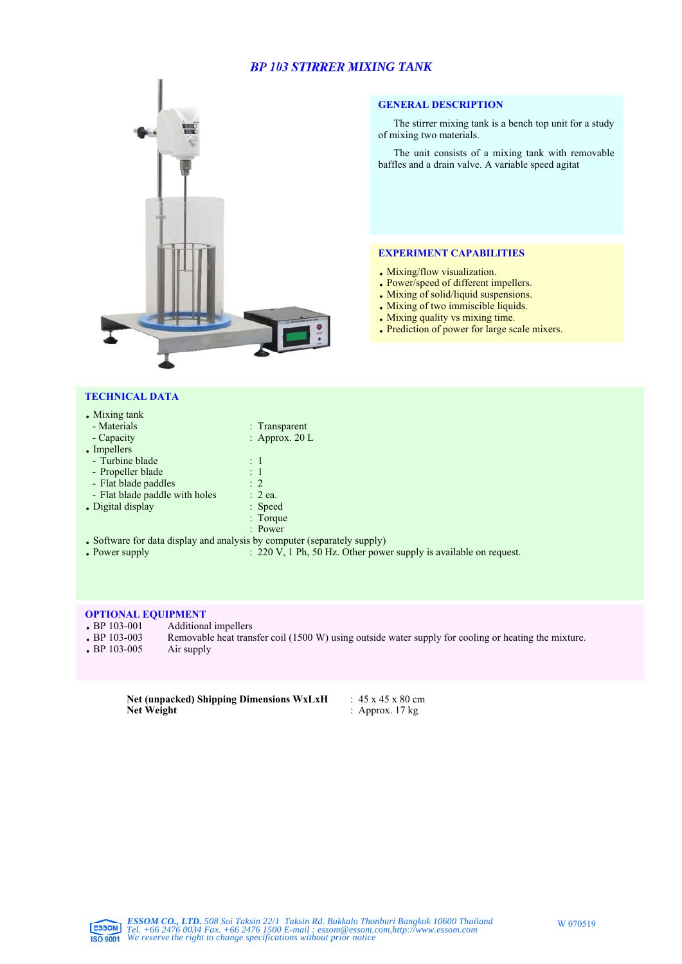## *BP 103 STIRRER MIXING TANK*



### **GENERAL DESCRIPTION**

The stirrer mixing tank is a bench top unit for a study of mixing two materials.

The unit consists of a mixing tank with removable baffles and a drain valve. A variable speed agitat

#### **EXPERIMENT CAPABILITIES**

- . Mixing/flow visualization.
- . Power/speed of different impellers.
- . Mixing of solid/liquid suspensions.
- . Mixing of two immiscible liquids.
- . Mixing quality vs mixing time.
- . Prediction of power for large scale mixers.

#### **TECHNICAL DATA**

| • Mixing tank                  |                                                                          |
|--------------------------------|--------------------------------------------------------------------------|
| - Materials                    | : Transparent                                                            |
| - Capacity                     | : Approx. $20 L$                                                         |
| • Impellers                    |                                                                          |
| - Turbine blade                | $\pm$ 1                                                                  |
| - Propeller blade              | $\pm$ 1                                                                  |
| - Flat blade paddles           | $\therefore$ 2                                                           |
| - Flat blade paddle with holes | $: 2$ ea.                                                                |
| . Digital display              | : Speed                                                                  |
|                                | : Torque                                                                 |
|                                | : Power                                                                  |
|                                | • Software for data display and analysis by computer (separately supply) |
| • Power supply                 | $: 220 \text{ V}, 1 \text{ Ph}, 50 \text{ Hz}$ . Other power             |

 $\therefore$  220 V, 1 Ph, 50 Hz. Other power supply is available on request.

# **OPTIONAL EQUIPMENT**<br> **•** BP 103-001 Additiona

- 
- BP 103-001 Additional impellers<br>• BP 103-003 Removable heat trans Removable heat transfer coil (1500 W) using outside water supply for cooling or heating the mixture.<br>Air supply
- $\cdot$  BP 103-005

**Net (unpacked) Shipping Dimensions WxLxH** :  $45 \times 45 \times 80$  cm<br>**Net Weight** : Approx. 17 kg **: Approx. 17 kg**